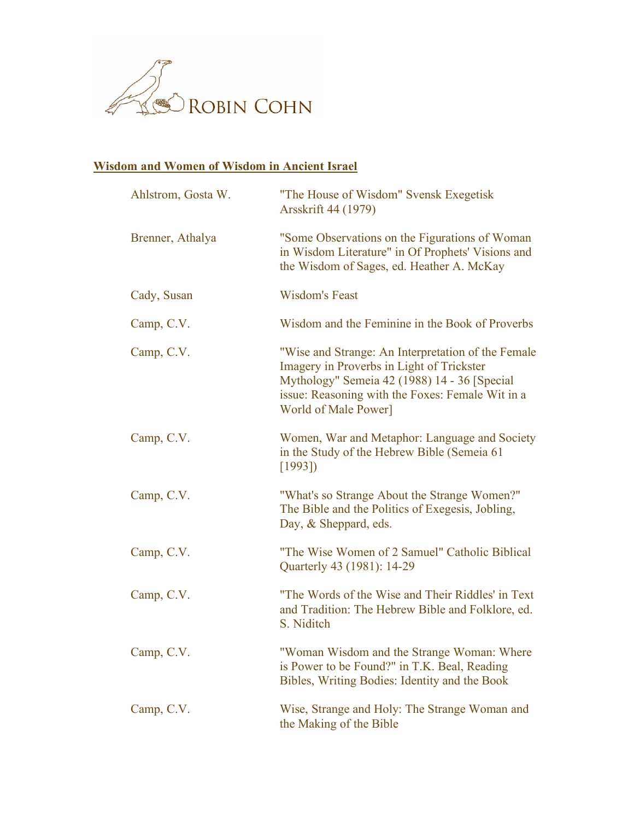

## **Wisdom and Women of Wisdom in Ancient Israel**

| Ahlstrom, Gosta W. | "The House of Wisdom" Svensk Exegetisk<br>Arsskrift 44 (1979)                                                                                                                                                               |
|--------------------|-----------------------------------------------------------------------------------------------------------------------------------------------------------------------------------------------------------------------------|
| Brenner, Athalya   | "Some Observations on the Figurations of Woman"<br>in Wisdom Literature" in Of Prophets' Visions and<br>the Wisdom of Sages, ed. Heather A. McKay                                                                           |
| Cady, Susan        | <b>Wisdom's Feast</b>                                                                                                                                                                                                       |
| Camp, C.V.         | Wisdom and the Feminine in the Book of Proverbs                                                                                                                                                                             |
| Camp, C.V.         | "Wise and Strange: An Interpretation of the Female<br>Imagery in Proverbs in Light of Trickster<br>Mythology" Semeia 42 (1988) 14 - 36 [Special<br>issue: Reasoning with the Foxes: Female Wit in a<br>World of Male Power] |
| Camp, C.V.         | Women, War and Metaphor: Language and Society<br>in the Study of the Hebrew Bible (Semeia 61)<br>[1993]                                                                                                                     |
| Camp, C.V.         | "What's so Strange About the Strange Women?"<br>The Bible and the Politics of Exegesis, Jobling,<br>Day, & Sheppard, eds.                                                                                                   |
| Camp, C.V.         | "The Wise Women of 2 Samuel" Catholic Biblical<br>Quarterly 43 (1981): 14-29                                                                                                                                                |
| Camp, C.V.         | "The Words of the Wise and Their Riddles' in Text<br>and Tradition: The Hebrew Bible and Folklore, ed.<br>S. Niditch                                                                                                        |
| Camp, C.V.         | "Woman Wisdom and the Strange Woman: Where<br>is Power to be Found?" in T.K. Beal, Reading<br>Bibles, Writing Bodies: Identity and the Book                                                                                 |
| Camp, C.V.         | Wise, Strange and Holy: The Strange Woman and<br>the Making of the Bible                                                                                                                                                    |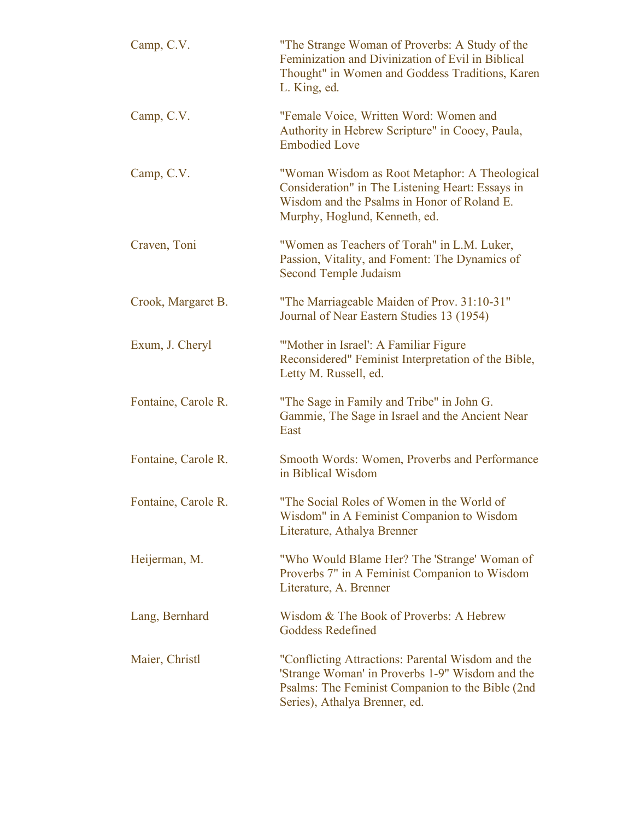| Camp, C.V.          | "The Strange Woman of Proverbs: A Study of the<br>Feminization and Divinization of Evil in Biblical<br>Thought" in Women and Goddess Traditions, Karen<br>L. King, ed.                    |
|---------------------|-------------------------------------------------------------------------------------------------------------------------------------------------------------------------------------------|
| Camp, C.V.          | "Female Voice, Written Word: Women and<br>Authority in Hebrew Scripture" in Cooey, Paula,<br><b>Embodied Love</b>                                                                         |
| Camp, C.V.          | "Woman Wisdom as Root Metaphor: A Theological<br>Consideration" in The Listening Heart: Essays in<br>Wisdom and the Psalms in Honor of Roland E.<br>Murphy, Hoglund, Kenneth, ed.         |
| Craven, Toni        | "Women as Teachers of Torah" in L.M. Luker,<br>Passion, Vitality, and Foment: The Dynamics of<br>Second Temple Judaism                                                                    |
| Crook, Margaret B.  | "The Marriageable Maiden of Prov. 31:10-31"<br>Journal of Near Eastern Studies 13 (1954)                                                                                                  |
| Exum, J. Cheryl     | "Mother in Israel": A Familiar Figure<br>Reconsidered" Feminist Interpretation of the Bible,<br>Letty M. Russell, ed.                                                                     |
| Fontaine, Carole R. | "The Sage in Family and Tribe" in John G.<br>Gammie, The Sage in Israel and the Ancient Near<br>East                                                                                      |
| Fontaine, Carole R. | Smooth Words: Women, Proverbs and Performance<br>in Biblical Wisdom                                                                                                                       |
| Fontaine, Carole R. | "The Social Roles of Women in the World of<br>Wisdom" in A Feminist Companion to Wisdom<br>Literature, Athalya Brenner                                                                    |
| Heijerman, M.       | "Who Would Blame Her? The 'Strange' Woman of<br>Proverbs 7" in A Feminist Companion to Wisdom<br>Literature, A. Brenner                                                                   |
| Lang, Bernhard      | Wisdom & The Book of Proverbs: A Hebrew<br>Goddess Redefined                                                                                                                              |
| Maier, Christl      | "Conflicting Attractions: Parental Wisdom and the<br>'Strange Woman' in Proverbs 1-9" Wisdom and the<br>Psalms: The Feminist Companion to the Bible (2nd<br>Series), Athalya Brenner, ed. |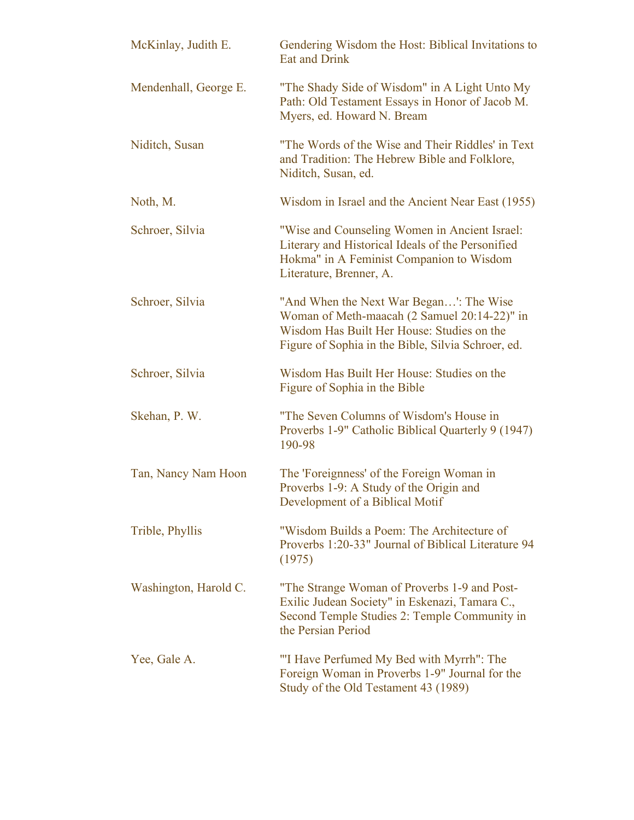| McKinlay, Judith E.   | Gendering Wisdom the Host: Biblical Invitations to<br><b>Eat and Drink</b>                                                                                                                  |
|-----------------------|---------------------------------------------------------------------------------------------------------------------------------------------------------------------------------------------|
| Mendenhall, George E. | "The Shady Side of Wisdom" in A Light Unto My<br>Path: Old Testament Essays in Honor of Jacob M.<br>Myers, ed. Howard N. Bream                                                              |
| Niditch, Susan        | "The Words of the Wise and Their Riddles' in Text<br>and Tradition: The Hebrew Bible and Folklore,<br>Niditch, Susan, ed.                                                                   |
| Noth, M.              | Wisdom in Israel and the Ancient Near East (1955)                                                                                                                                           |
| Schroer, Silvia       | "Wise and Counseling Women in Ancient Israel:<br>Literary and Historical Ideals of the Personified<br>Hokma" in A Feminist Companion to Wisdom<br>Literature, Brenner, A.                   |
| Schroer, Silvia       | "And When the Next War Began": The Wise<br>Woman of Meth-maacah (2 Samuel 20:14-22)" in<br>Wisdom Has Built Her House: Studies on the<br>Figure of Sophia in the Bible, Silvia Schroer, ed. |
| Schroer, Silvia       | Wisdom Has Built Her House: Studies on the<br>Figure of Sophia in the Bible                                                                                                                 |
| Skehan, P. W.         | "The Seven Columns of Wisdom's House in<br>Proverbs 1-9" Catholic Biblical Quarterly 9 (1947)<br>190-98                                                                                     |
| Tan, Nancy Nam Hoon   | The 'Foreignness' of the Foreign Woman in<br>Proverbs 1-9: A Study of the Origin and<br>Development of a Biblical Motif                                                                     |
| Trible, Phyllis       | "Wisdom Builds a Poem: The Architecture of<br>Proverbs 1:20-33" Journal of Biblical Literature 94<br>(1975)                                                                                 |
| Washington, Harold C. | "The Strange Woman of Proverbs 1-9 and Post-<br>Exilic Judean Society" in Eskenazi, Tamara C.,<br>Second Temple Studies 2: Temple Community in<br>the Persian Period                        |
| Yee, Gale A.          | "I Have Perfumed My Bed with Myrrh": The<br>Foreign Woman in Proverbs 1-9" Journal for the<br>Study of the Old Testament 43 (1989)                                                          |